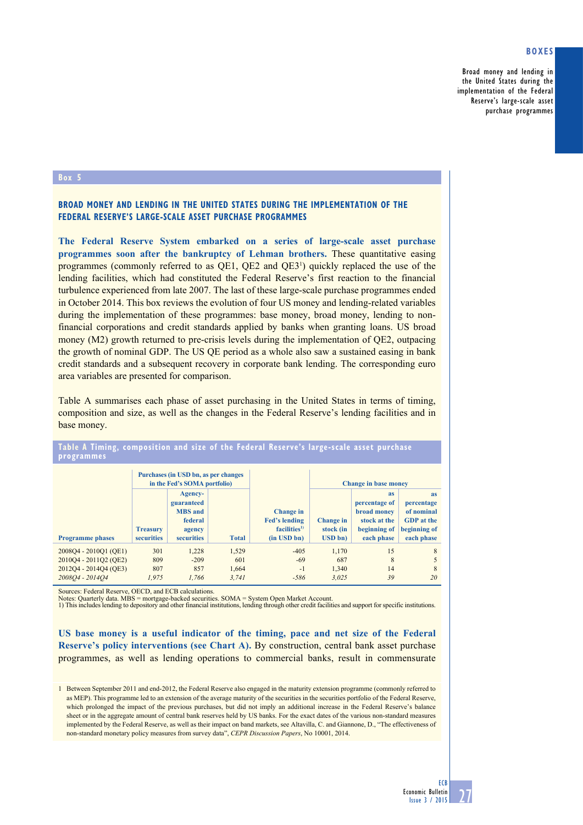# **Boxes**

Broad money and lending in the United States during the implementation of the Federal Reserve's large-scale asset purchase programmes

## **Box 5**

# **Broad money and lending in the United States during the implementation of the Federal Reserve's large-scale asset purchase programmes**

**The Federal Reserve System embarked on a series of large-scale asset purchase programmes soon after the bankruptcy of Lehman brothers.** These quantitative easing programmes (commonly referred to as  $QE1$ ,  $QE2$  and  $QE3<sup>1</sup>$ ) quickly replaced the use of the lending facilities, which had constituted the Federal Reserve's first reaction to the financial turbulence experienced from late 2007. The last of these large-scale purchase programmes ended in October 2014. This box reviews the evolution of four US money and lending-related variables during the implementation of these programmes: base money, broad money, lending to nonfinancial corporations and credit standards applied by banks when granting loans. US broad money (M2) growth returned to pre-crisis levels during the implementation of QE2, outpacing the growth of nominal GDP. The US QE period as a whole also saw a sustained easing in bank credit standards and a subsequent recovery in corporate bank lending. The corresponding euro area variables are presented for comparison.

Table A summarises each phase of asset purchasing in the United States in terms of timing, composition and size, as well as the changes in the Federal Reserve's lending facilities and in base money.

|                         | Purchases (in USD bn, as per changes<br>in the Fed's SOMA portfolio) |                                                                                   |              |                                                                                  | <b>Change in base money</b>              |                                                                                         |                                                                                   |
|-------------------------|----------------------------------------------------------------------|-----------------------------------------------------------------------------------|--------------|----------------------------------------------------------------------------------|------------------------------------------|-----------------------------------------------------------------------------------------|-----------------------------------------------------------------------------------|
| <b>Programme</b> phases | <b>Treasury</b><br>securities                                        | Agency-<br>guaranteed<br><b>MBS</b> and<br>federal<br>agency<br><b>securities</b> | <b>Total</b> | Change in<br><b>Fed's lending</b><br>facilities <sup>1</sup><br>$(in$ USD bn $)$ | Change in<br>stock (in<br><b>USD</b> bn) | <b>as</b><br>percentage of<br>broad money<br>stock at the<br>beginning of<br>each phase | as<br>percentage<br>of nominal<br><b>GDP</b> at the<br>beginning of<br>each phase |
| 2008Q4 - 2010Q1 (QE1)   | 301                                                                  | 1.228                                                                             | 1.529        | $-405$                                                                           | 1.170                                    | 15                                                                                      | 8                                                                                 |
| 2010Q4 - 2011Q2 (QE2)   | 809                                                                  | $-209$                                                                            | 601          | $-69$                                                                            | 687                                      | 8                                                                                       | 5                                                                                 |
| 2012Q4 - 2014Q4 (QE3)   | 807                                                                  | 857                                                                               | 1.664        | $-1$                                                                             | 1.340                                    | 14                                                                                      | 8                                                                                 |
| 2008O4 - 2014O4         | 1.975                                                                | 1.766                                                                             | 3.741        | $-586$                                                                           | 3.025                                    | 39                                                                                      | 20                                                                                |

## Table A Timing, composition and size of the Federal Reserve's large-scale asset purchase **programmes**

Sources: Federal Reserve, OECD, and ECB calculations.

Notes: Quarterly data. MBS = mortgage-backed securities. SOMA = System Open Market Account.<br>1) This includes lending to depository and other financial institutions, lending through other credit facilities and support for s

**US base money is a useful indicator of the timing, pace and net size of the Federal Reserve's policy interventions (see Chart A).** By construction, central bank asset purchase programmes, as well as lending operations to commercial banks, result in commensurate

<sup>1</sup> Between September 2011 and end-2012, the Federal Reserve also engaged in the maturity extension programme (commonly referred to as MEP). This programme led to an extension of the average maturity of the securities in the securities portfolio of the Federal Reserve, which prolonged the impact of the previous purchases, but did not imply an additional increase in the Federal Reserve's balance sheet or in the aggregate amount of central bank reserves held by US banks. For the exact dates of the various non-standard measures implemented by the Federal Reserve, as well as their impact on band markets, see Altavilla, C. and Giannone, D., "The effectiveness of non-standard monetary policy measures from survey data", *CEPR Discussion Papers*, No 10001, 2014.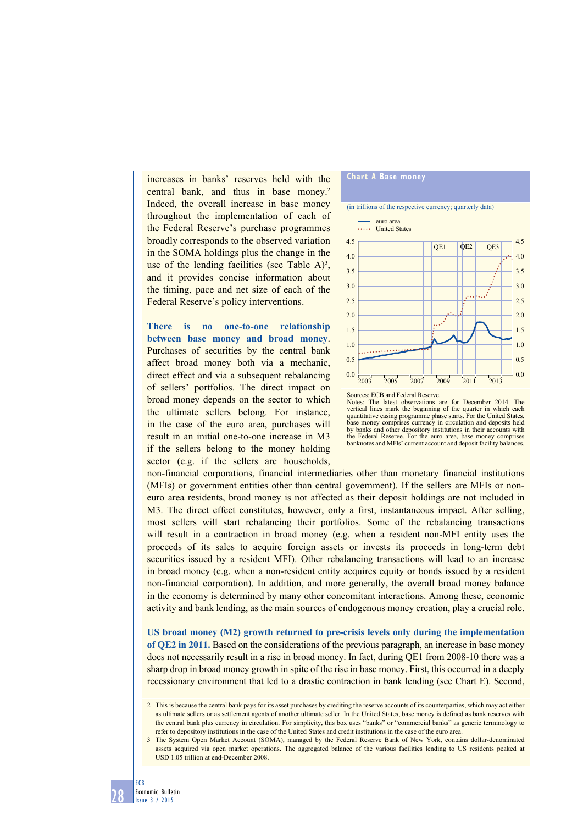increases in banks' reserves held with the central bank, and thus in base money.<sup>2</sup> Indeed, the overall increase in base money throughout the implementation of each of the Federal Reserve's purchase programmes broadly corresponds to the observed variation in the SOMA holdings plus the change in the use of the lending facilities (see Table  $A$ )<sup>3</sup>, and it provides concise information about the timing, pace and net size of each of the Federal Reserve's policy interventions.

**There is no one-to-one relationship between base money and broad money**. Purchases of securities by the central bank affect broad money both via a mechanic, direct effect and via a subsequent rebalancing of sellers' portfolios. The direct impact on broad money depends on the sector to which the ultimate sellers belong. For instance, in the case of the euro area, purchases will result in an initial one-to-one increase in M3 if the sellers belong to the money holding sector (e.g. if the sellers are households,





vertical lines mark the beginning of the quarter in which each quantitative easing programme phase starts. For the United States, base money comprises currency in circulation and deposits held by banks and other depository institutions in their accounts with the Federal Reserve. For the euro area, base money comprises banknotes and MFls' current account and deposit facility balances.

2003 2005 2007 2009 2011 2013

non-financial corporations, financial intermediaries other than monetary financial institutions (MFIs) or government entities other than central government). If the sellers are MFIs or noneuro area residents, broad money is not affected as their deposit holdings are not included in M3. The direct effect constitutes, however, only a first, instantaneous impact. After selling, most sellers will start rebalancing their portfolios. Some of the rebalancing transactions will result in a contraction in broad money (e.g. when a resident non-MFI entity uses the proceeds of its sales to acquire foreign assets or invests its proceeds in long-term debt securities issued by a resident MFI). Other rebalancing transactions will lead to an increase in broad money (e.g. when a non-resident entity acquires equity or bonds issued by a resident non-financial corporation). In addition, and more generally, the overall broad money balance in the economy is determined by many other concomitant interactions. Among these, economic activity and bank lending, as the main sources of endogenous money creation, play a crucial role.

**US broad money (M2) growth returned to pre-crisis levels only during the implementation of QE2 in 2011.** Based on the considerations of the previous paragraph, an increase in base money does not necessarily result in a rise in broad money. In fact, during QE1 from 2008-10 there was a sharp drop in broad money growth in spite of the rise in base money. First, this occurred in a deeply recessionary environment that led to a drastic contraction in bank lending (see Chart E). Second,

<sup>2</sup> This is because the central bank pays for its asset purchases by crediting the reserve accounts of its counterparties, which may act either as ultimate sellers or as settlement agents of another ultimate seller. In the United States, base money is defined as bank reserves with the central bank plus currency in circulation. For simplicity, this box uses "banks" or "commercial banks" as generic terminology to refer to depository institutions in the case of the United States and credit institutions in the case of the euro area.

<sup>3</sup> The System Open Market Account (SOMA), managed by the Federal Reserve Bank of New York, contains dollar-denominated assets acquired via open market operations. The aggregated balance of the various facilities lending to US residents peaked at USD 1.05 trillion at end-December 2008.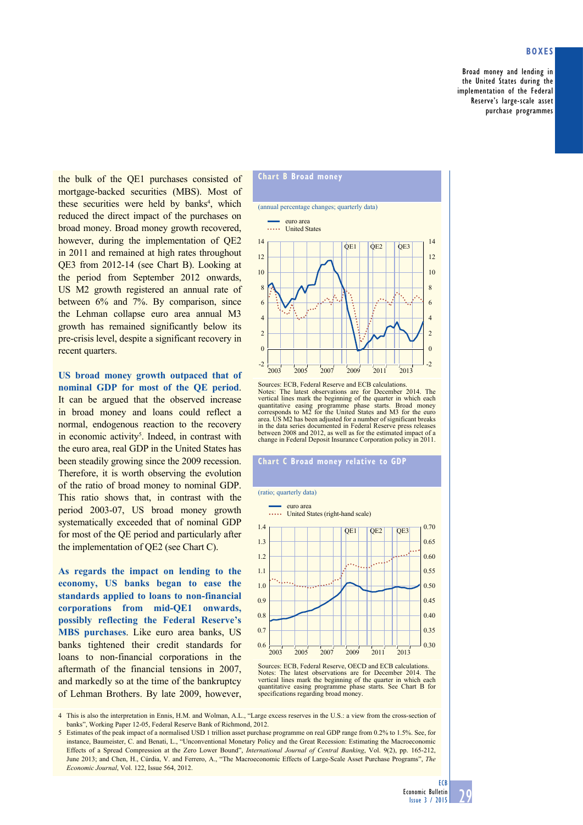# **Boxes**

Broad money and lending in the United States during the implementation of the Federal Reserve's large-scale asset purchase programmes

the bulk of the QE1 purchases consisted of mortgage-backed securities (MBS). Most of these securities were held by banks<sup>4</sup>, which reduced the direct impact of the purchases on broad money. Broad money growth recovered, however, during the implementation of QE2 in 2011 and remained at high rates throughout QE3 from 2012-14 (see Chart B). Looking at the period from September 2012 onwards, US M2 growth registered an annual rate of between 6% and 7%. By comparison, since the Lehman collapse euro area annual M3 growth has remained significantly below its pre-crisis level, despite a significant recovery in recent quarters.

**US broad money growth outpaced that of nominal GDP for most of the QE period**. It can be argued that the observed increase in broad money and loans could reflect a normal, endogenous reaction to the recovery in economic activity<sup>5</sup>. Indeed, in contrast with the euro area, real GDP in the United States has been steadily growing since the 2009 recession. Therefore, it is worth observing the evolution of the ratio of broad money to nominal GDP. This ratio shows that, in contrast with the period 2003-07, US broad money growth systematically exceeded that of nominal GDP for most of the QE period and particularly after the implementation of QE2 (see Chart C).

**As regards the impact on lending to the economy, US banks began to ease the standards applied to loans to non-financial corporations from mid-QE1 onwards, possibly reflecting the Federal Reserve's MBS purchases**. Like euro area banks, US banks tightened their credit standards for loans to non-financial corporations in the aftermath of the financial tensions in 2007, and markedly so at the time of the bankruptcy of Lehman Brothers. By late 2009, however,



Sources: ECB, Federal Reserve and ECB calculations. Notes: The latest observations are for December 2014. The vertical lines mark the beginning of the quarter in which each quantitative easing programme phase starts. Broad money corresponds to M2 for the United States and M3 for the euro area. US M2 has been adjusted for a number of significant breaks in the data series documented in Federal Reserve press releases between 2008 and 2012, as well as for the estimated impact of a change in Federal Deposit Insurance Corporation policy in 2011.

## **Chart C Broad money relative to GDP**

#### (ratio; quarterly data)



Sources: ECB, Federal Reserve, OECD and ECB calculations. Notes: The latest observations are for December 2014. The vertical lines mark the beginning of the quarter in which each quantitative easing programme phase starts. See Chart B for specifications regarding broad money.

4 This is also the interpretation in Ennis, H.M. and Wolman, A.L., "Large excess reserves in the U.S.: a view from the cross-section of banks", Working Paper 12-05, Federal Reserve Bank of Richmond, 2012.

5 Estimates of the peak impact of a normalised USD 1 trillion asset purchase programme on real GDP range from 0.2% to 1.5%. See, for instance, Baumeister, C. and Benati, L., "Unconventional Monetary Policy and the Great Recession: Estimating the Macroeconomic Effects of a Spread Compression at the Zero Lower Bound", *International Journal of Central Banking*, Vol. 9(2), pp. 165-212, June 2013; and Chen, H., Cúrdia, V. and Ferrero, A., "The Macroeconomic Effects of Large-Scale Asset Purchase Programs", *The Economic Journal*, Vol. 122, Issue 564, 2012.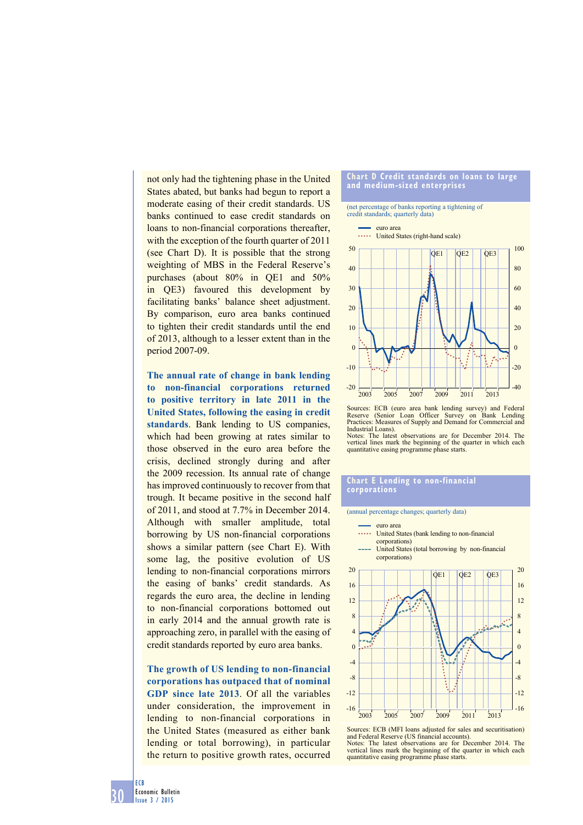not only had the tightening phase in the United States abated, but banks had begun to report a moderate easing of their credit standards. US banks continued to ease credit standards on loans to non-financial corporations thereafter, with the exception of the fourth quarter of 2011 (see Chart D). It is possible that the strong weighting of MBS in the Federal Reserve's purchases (about 80% in QE1 and 50% in QE3) favoured this development by facilitating banks' balance sheet adjustment. By comparison, euro area banks continued to tighten their credit standards until the end of 2013, although to a lesser extent than in the period 2007-09.

**The annual rate of change in bank lending to non-financial corporations returned to positive territory in late 2011 in the United States, following the easing in credit standards**. Bank lending to US companies, which had been growing at rates similar to those observed in the euro area before the crisis, declined strongly during and after the 2009 recession. Its annual rate of change has improved continuously to recover from that trough. It became positive in the second half of 2011, and stood at 7.7% in December 2014. Although with smaller amplitude, total borrowing by US non-financial corporations shows a similar pattern (see Chart E). With some lag, the positive evolution of US lending to non-financial corporations mirrors the easing of banks' credit standards. As regards the euro area, the decline in lending to non-financial corporations bottomed out in early 2014 and the annual growth rate is approaching zero, in parallel with the easing of credit standards reported by euro area banks.

**The growth of US lending to non-financial corporations has outpaced that of nominal GDP since late 2013**. Of all the variables under consideration, the improvement in lending to non-financial corporations in the United States (measured as either bank lending or total borrowing), in particular the return to positive growth rates, occurred

#### **chart d credit standards on loans to large and medium-sized enterprises**

# (net percentage of banks reporting a tightening of credit standards; quarterly data)





### **chart e lending to non-financial corporations**

(annual percentage changes; quarterly data)

quantitative easing programme phase starts.



and Federal Reserve (US financial accounts). Notes: The latest observations are for December 2014. The vertical lines mark the beginning of the quarter in which each quantitative easing programme phase starts.